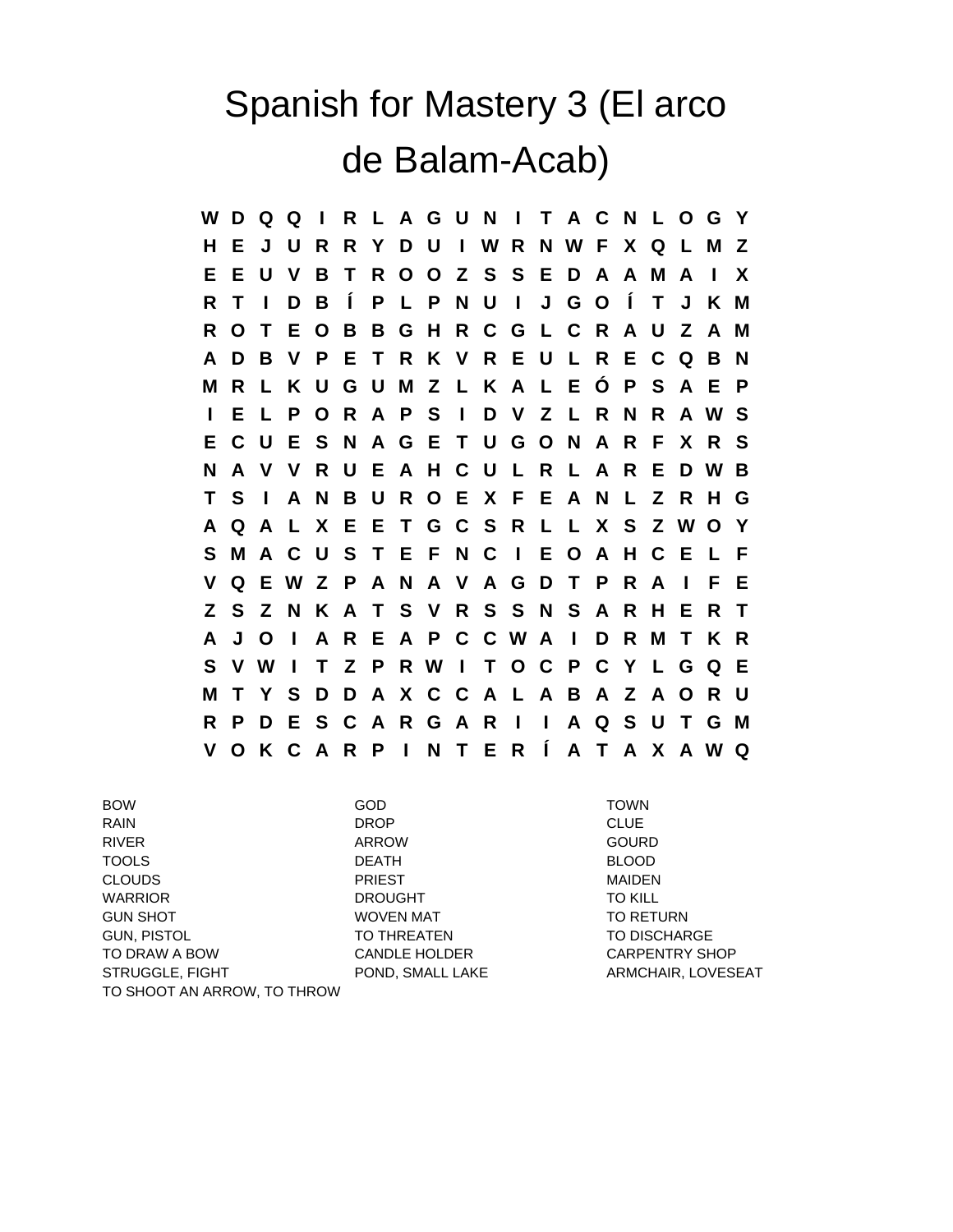## Spanish for Mastery 3 (El arco de Balam-Acab)

**W D Q Q I R L A G U N I T A C N L O G Y H E J U R R Y D U I W R N W F X Q L M Z E E U V B T R O O Z S S E D A A M A I X R T I D B Í P L P N U I J G O Í T J K M R O T E O B B G H R C G L C R A U Z A M A D B V P E T R K V R E U L R E C Q B N M R L K U G U M Z L K A L E Ó P S A E P I E L P O R A P S I D V Z L R N R A W S E C U E S N A G E T U G O N A R F X R S N A V V R U E A H C U L R L A R E D W B T S I A N B U R O E X F E A N L Z R H G A Q A L X E E T G C S R L L X S Z W O Y S M A C U S T E F N C I E O A H C E L F V Q E W Z P A N A V A G D T P R A I F E Z S Z N K A T S V R S S N S A R H E R T A J O I A R E A P C C W A I D R M T K R S V W I T Z P R W I T O C P C Y L G Q E M T Y S D D A X C C A L A B A Z A O R U R P D E S C A R G A R I I A Q S U T G M V O K C A R P I N T E R Í A T A X A W Q**

BOW GOD TOWN RAIN DROP CLUE RIVER ARROW GOURD TOOLS DEATH BLOOD CLOUDS PRIEST MAIDEN WARRIOR **DROUGHT** DROUGHT TO KILL GUN SHOT TO RETURN WOVEN MAT TO RETURN GUN, PISTOL **TO THREATEN** TO THREATEN TO DISCHARGE TO DRAW A BOW CANDLE HOLDER CARPENTRY SHOP STRUGGLE, FIGHT POND, SMALL LAKE ARMCHAIR, LOVESEAT TO SHOOT AN ARROW, TO THROW